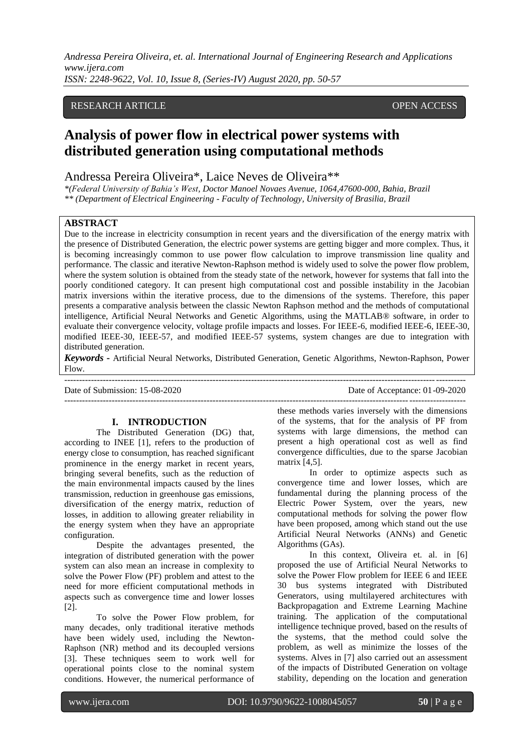## RESEARCH ARTICLE **CONSERVERS** OPEN ACCESS

# **Analysis of power flow in electrical power systems with distributed generation using computational methods**

Andressa Pereira Oliveira\*, Laice Neves de Oliveira\*\*

*\*(Federal University of Bahia's West, Doctor Manoel Novaes Avenue, 1064,47600-000, Bahia, Brazil \*\* (Department of Electrical Engineering - Faculty of Technology, University of Brasilia, Brazil*

## **ABSTRACT**

Due to the increase in electricity consumption in recent years and the diversification of the energy matrix with the presence of Distributed Generation, the electric power systems are getting bigger and more complex. Thus, it is becoming increasingly common to use power flow calculation to improve transmission line quality and performance. The classic and iterative Newton-Raphson method is widely used to solve the power flow problem, where the system solution is obtained from the steady state of the network, however for systems that fall into the poorly conditioned category. It can present high computational cost and possible instability in the Jacobian matrix inversions within the iterative process, due to the dimensions of the systems. Therefore, this paper presents a comparative analysis between the classic Newton Raphson method and the methods of computational intelligence, Artificial Neural Networks and Genetic Algorithms, using the MATLAB® software, in order to evaluate their convergence velocity, voltage profile impacts and losses. For IEEE-6, modified IEEE-6, IEEE-30, modified IEEE-30, IEEE-57, and modified IEEE-57 systems, system changes are due to integration with distributed generation.

*Keywords* **-** Artificial Neural Networks, Distributed Generation, Genetic Algorithms, Newton-Raphson, Power Flow.

---------------------------------------------------------------------------------------------------------------------------------------

Date of Submission: 15-08-2020 Date of Acceptance: 01-09-2020 ---------------------------------------------------------------------------------------------------------------------------------------

## **I. INTRODUCTION**

The Distributed Generation (DG) that, according to INEE [1], refers to the production of energy close to consumption, has reached significant prominence in the energy market in recent years, bringing several benefits, such as the reduction of the main environmental impacts caused by the lines transmission, reduction in greenhouse gas emissions, diversification of the energy matrix, reduction of losses, in addition to allowing greater reliability in the energy system when they have an appropriate configuration.

Despite the advantages presented, the integration of distributed generation with the power system can also mean an increase in complexity to solve the Power Flow (PF) problem and attest to the need for more efficient computational methods in aspects such as convergence time and lower losses [2].

To solve the Power Flow problem, for many decades, only traditional iterative methods have been widely used, including the Newton-Raphson (NR) method and its decoupled versions [3]. These techniques seem to work well for operational points close to the nominal system conditions. However, the numerical performance of

these methods varies inversely with the dimensions of the systems, that for the analysis of PF from systems with large dimensions, the method can present a high operational cost as well as find convergence difficulties, due to the sparse Jacobian matrix [4,5].

In order to optimize aspects such as convergence time and lower losses, which are fundamental during the planning process of the Electric Power System, over the years, new computational methods for solving the power flow have been proposed, among which stand out the use Artificial Neural Networks (ANNs) and Genetic Algorithms (GAs).

In this context, Oliveira et. al. in [6] proposed the use of Artificial Neural Networks to solve the Power Flow problem for IEEE 6 and IEEE 30 bus systems integrated with Distributed Generators, using multilayered architectures with Backpropagation and Extreme Learning Machine training. The application of the computational intelligence technique proved, based on the results of the systems, that the method could solve the problem, as well as minimize the losses of the systems. Alves in [7] also carried out an assessment of the impacts of Distributed Generation on voltage stability, depending on the location and generation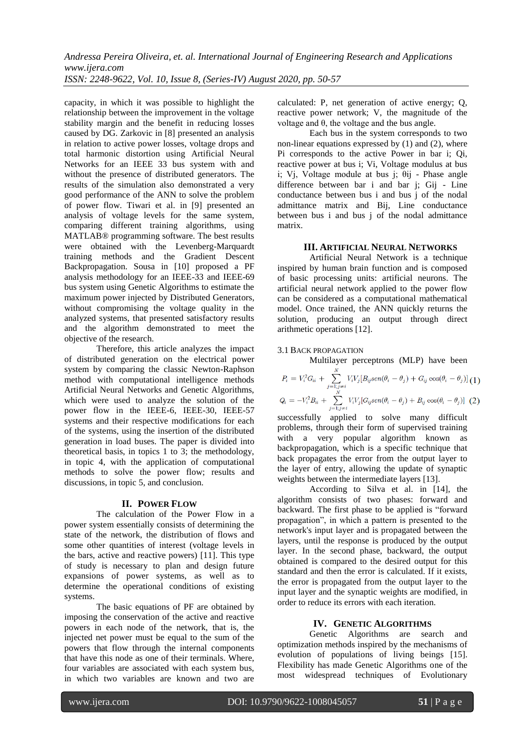capacity, in which it was possible to highlight the relationship between the improvement in the voltage stability margin and the benefit in reducing losses caused by DG. Zarkovic in [8] presented an analysis in relation to active power losses, voltage drops and total harmonic distortion using Artificial Neural Networks for an IEEE 33 bus system with and without the presence of distributed generators. The results of the simulation also demonstrated a very good performance of the ANN to solve the problem of power flow. Tiwari et al. in [9] presented an analysis of voltage levels for the same system, comparing different training algorithms, using MATLAB® programming software. The best results were obtained with the Levenberg-Marquardt training methods and the Gradient Descent Backpropagation. Sousa in [10] proposed a PF analysis methodology for an IEEE-33 and IEEE-69 bus system using Genetic Algorithms to estimate the maximum power injected by Distributed Generators, without compromising the voltage quality in the analyzed systems, that presented satisfactory results and the algorithm demonstrated to meet the objective of the research.

Therefore, this article analyzes the impact of distributed generation on the electrical power system by comparing the classic Newton-Raphson method with computational intelligence methods Artificial Neural Networks and Genetic Algorithms, which were used to analyze the solution of the power flow in the IEEE-6, IEEE-30, IEEE-57 systems and their respective modifications for each of the systems, using the insertion of the distributed generation in load buses. The paper is divided into theoretical basis, in topics 1 to 3; the methodology, in topic 4, with the application of computational methods to solve the power flow; results and discussions, in topic 5, and conclusion.

#### **II. POWER FLOW**

The calculation of the Power Flow in a power system essentially consists of determining the state of the network, the distribution of flows and some other quantities of interest (voltage levels in the bars, active and reactive powers) [11]. This type of study is necessary to plan and design future expansions of power systems, as well as to determine the operational conditions of existing systems.

The basic equations of PF are obtained by imposing the conservation of the active and reactive powers in each node of the network, that is, the injected net power must be equal to the sum of the powers that flow through the internal components that have this node as one of their terminals. Where, four variables are associated with each system bus, in which two variables are known and two are calculated: P, net generation of active energy; Q, reactive power network; V, the magnitude of the voltage and θ, the voltage and the bus angle.

Each bus in the system corresponds to two non-linear equations expressed by (1) and (2), where Pi corresponds to the active Power in bar i; Qi, reactive power at bus i; Vi, Voltage modulus at bus i; Vj, Voltage module at bus j; θij - Phase angle difference between bar i and bar j; Gij - Line conductance between bus i and bus j of the nodal admittance matrix and Bij, Line conductance between bus i and bus j of the nodal admittance matrix.

## **III. ARTIFICIAL NEURAL NETWORKS**

Artificial Neural Network is a technique inspired by human brain function and is composed of basic processing units: artificial neurons. The artificial neural network applied to the power flow can be considered as a computational mathematical model. Once trained, the ANN quickly returns the solution, producing an output through direct arithmetic operations [12].

#### 3.1 BACK PROPAGATION

Multilayer perceptrons (MLP) have been

$$
P_i = V_i^2 G_{ii} + \sum_{j=1; j \neq i}^{N} V_i V_j [B_{ij}sen(\theta_i - \theta_j) + G_{ij} \cos(\theta_i - \theta_j)] (1)
$$
  

$$
Q_i = -V_i^2 B_{ii} + \sum_{j=1; j \neq i}^{N} V_i V_j [G_{ij}sen(\theta_i - \theta_j) + B_{ij} \cos(\theta_i - \theta_j)] (2)
$$

successfully applied to solve many difficult problems, through their form of supervised training with a very popular algorithm known as backpropagation, which is a specific technique that back propagates the error from the output layer to the layer of entry, allowing the update of synaptic weights between the intermediate layers [13].

According to Silva et al. in [14], the algorithm consists of two phases: forward and backward. The first phase to be applied is "forward propagation", in which a pattern is presented to the network's input layer and is propagated between the layers, until the response is produced by the output layer. In the second phase, backward, the output obtained is compared to the desired output for this standard and then the error is calculated. If it exists, the error is propagated from the output layer to the input layer and the synaptic weights are modified, in order to reduce its errors with each iteration.

## **IV. GENETIC ALGORITHMS**

Genetic Algorithms are search and optimization methods inspired by the mechanisms of evolution of populations of living beings [15]. Flexibility has made Genetic Algorithms one of the most widespread techniques of Evolutionary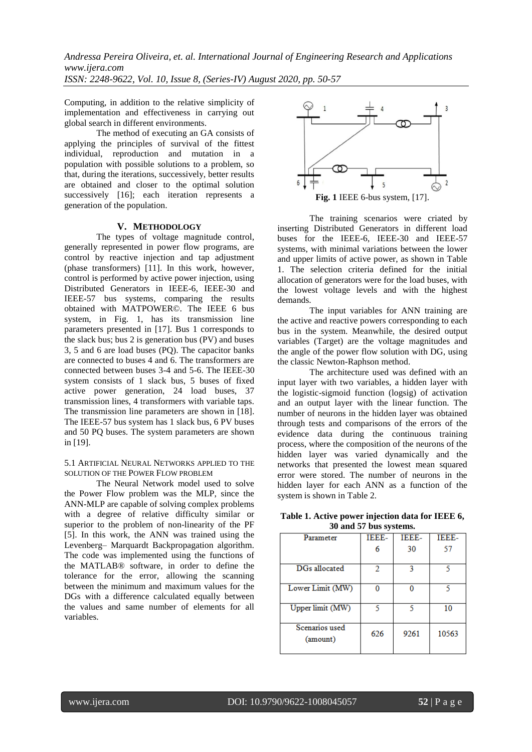Computing, in addition to the relative simplicity of implementation and effectiveness in carrying out global search in different environments.

The method of executing an GA consists of applying the principles of survival of the fittest individual, reproduction and mutation in a population with possible solutions to a problem, so that, during the iterations, successively, better results are obtained and closer to the optimal solution successively [16]; each iteration represents a generation of the population.

## **V. METHODOLOGY**

The types of voltage magnitude control, generally represented in power flow programs, are control by reactive injection and tap adjustment (phase transformers) [11]. In this work, however, control is performed by active power injection, using Distributed Generators in IEEE-6, IEEE-30 and IEEE-57 bus systems, comparing the results obtained with MATPOWER©. The IEEE 6 bus system, in Fig. 1, has its transmission line parameters presented in [17]. Bus 1 corresponds to the slack bus; bus 2 is generation bus (PV) and buses 3, 5 and 6 are load buses (PQ). The capacitor banks are connected to buses 4 and 6. The transformers are connected between buses 3-4 and 5-6. The IEEE-30 system consists of 1 slack bus, 5 buses of fixed active power generation, 24 load buses, 37 transmission lines, 4 transformers with variable taps. The transmission line parameters are shown in [18]. The IEEE-57 bus system has 1 slack bus, 6 PV buses and 50 PQ buses. The system parameters are shown in [19].

## 5.1 ARTIFICIAL NEURAL NETWORKS APPLIED TO THE SOLUTION OF THE POWER FLOW PROBLEM

The Neural Network model used to solve the Power Flow problem was the MLP, since the ANN-MLP are capable of solving complex problems with a degree of relative difficulty similar or superior to the problem of non-linearity of the PF [5]. In this work, the ANN was trained using the Levenberg– Marquardt Backpropagation algorithm. The code was implemented using the functions of the MATLAB® software, in order to define the tolerance for the error, allowing the scanning between the minimum and maximum values for the DGs with a difference calculated equally between the values and same number of elements for all variables.



The training scenarios were criated by inserting Distributed Generators in different load buses for the IEEE-6, IEEE-30 and IEEE-57 systems, with minimal variations between the lower and upper limits of active power, as shown in Table 1. The selection criteria defined for the initial allocation of generators were for the load buses, with the lowest voltage levels and with the highest demands.

The input variables for ANN training are the active and reactive powers corresponding to each bus in the system. Meanwhile, the desired output variables (Target) are the voltage magnitudes and the angle of the power flow solution with DG, using the classic Newton-Raphson method.

The architecture used was defined with an input layer with two variables, a hidden layer with the logistic-sigmoid function (logsig) of activation and an output layer with the linear function. The number of neurons in the hidden layer was obtained through tests and comparisons of the errors of the evidence data during the continuous training process, where the composition of the neurons of the hidden layer was varied dynamically and the networks that presented the lowest mean squared error were stored. The number of neurons in the hidden layer for each ANN as a function of the system is shown in Table 2.

**Table 1. Active power injection data for IEEE 6, 30 and 57 bus systems.**

| Parameter                  | IEEE- | <b>IEEE-</b> | IEEE- |
|----------------------------|-------|--------------|-------|
|                            |       | 30           | 57    |
| DGs allocated              | 2     |              |       |
| Lower Limit (MW)           |       |              |       |
| Upper limit (MW)           |       | ς            | 10    |
| Scenarios used<br>(amount) | 626   | 9261         | 10563 |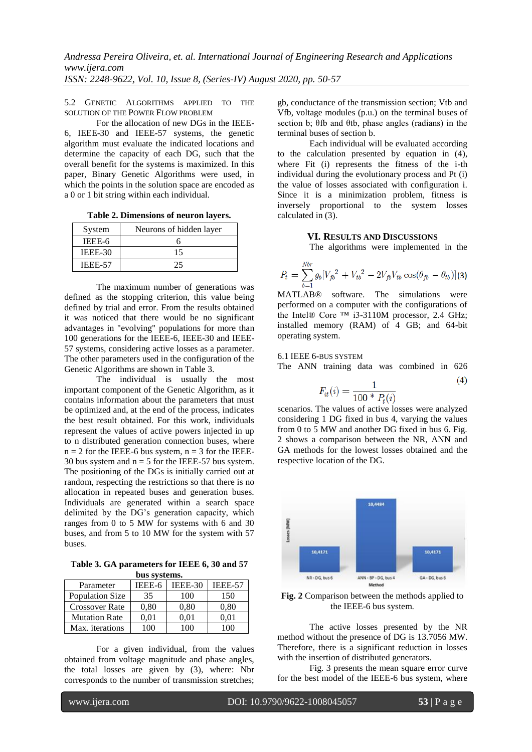5.2 GENETIC ALGORITHMS APPLIED TO THE SOLUTION OF THE POWER FLOW PROBLEM

For the allocation of new DGs in the IEEE-6, IEEE-30 and IEEE-57 systems, the genetic algorithm must evaluate the indicated locations and determine the capacity of each DG, such that the overall benefit for the systems is maximized. In this paper, Binary Genetic Algorithms were used, in which the points in the solution space are encoded as a 0 or 1 bit string within each individual.

**Table 2. Dimensions of neuron layers.**

| System         | Neurons of hidden layer |  |  |
|----------------|-------------------------|--|--|
| IEEE-6         |                         |  |  |
| IEEE-30        | 15                      |  |  |
| <b>IEEE-57</b> |                         |  |  |

The maximum number of generations was defined as the stopping criterion, this value being defined by trial and error. From the results obtained it was noticed that there would be no significant advantages in "evolving" populations for more than 100 generations for the IEEE-6, IEEE-30 and IEEE-57 systems, considering active losses as a parameter. The other parameters used in the configuration of the Genetic Algorithms are shown in Table 3.

The individual is usually the most important component of the Genetic Algorithm, as it contains information about the parameters that must be optimized and, at the end of the process, indicates the best result obtained. For this work, individuals represent the values of active powers injected in up to n distributed generation connection buses, where  $n = 2$  for the IEEE-6 bus system,  $n = 3$  for the IEEE-30 bus system and  $n = 5$  for the IEEE-57 bus system. The positioning of the DGs is initially carried out at random, respecting the restrictions so that there is no allocation in repeated buses and generation buses. Individuals are generated within a search space delimited by the DG's generation capacity, which ranges from 0 to 5 MW for systems with 6 and 30 buses, and from 5 to 10 MW for the system with 57 buses.

**Table 3. GA parameters for IEEE 6, 30 and 57 bus systems.**

| Parameter              | IEEE-6            | <b>IEEE-30</b> | <b>IEEE-57</b> |  |  |
|------------------------|-------------------|----------------|----------------|--|--|
| <b>Population Size</b> | 35                | 100            | 150            |  |  |
| <b>Crossover Rate</b>  | 0.80              | 0.80           | 0.80           |  |  |
| <b>Mutation Rate</b>   | 0.01              | 0.01           | $0.01\,$       |  |  |
| Max. iterations        | $^{\prime\prime}$ |                |                |  |  |

For a given individual, from the values obtained from voltage magnitude and phase angles, the total losses are given by (3), where: Nbr corresponds to the number of transmission stretches;

gb, conductance of the transmission section; Vtb and Vfb, voltage modules (p.u.) on the terminal buses of section b; θfb and θtb, phase angles (radians) in the terminal buses of section b.

Each individual will be evaluated according to the calculation presented by equation in (4), where Fit (i) represents the fitness of the i-th individual during the evolutionary process and Pt (i) the value of losses associated with configuration i. Since it is a minimization problem, fitness is inversely proportional to the system losses calculated in (3).

## **VI. RESULTS AND DISCUSSIONS**

The algorithms were implemented in the

$$
P_t = \sum_{b=1}^{Nbr} g_b [V_{fb}^2 + V_{tb}^2 - 2V_{fb}V_{tb} \cos(\theta_{fb} - \theta_{tb})](3)
$$

MATLAB® software. The simulations were performed on a computer with the configurations of the Intel® Core ™ i3-3110M processor, 2.4 GHz; installed memory (RAM) of 4 GB; and 64-bit operating system.

## 6.1 IEEE 6-BUS SYSTEM

The ANN training data was combined in 626

$$
F_{it}(i) = \frac{1}{100 * P_{t}(i)}\tag{4}
$$

scenarios. The values of active losses were analyzed considering 1 DG fixed in bus 4, varying the values from 0 to 5 MW and another DG fixed in bus 6. Fig. 2 shows a comparison between the NR, ANN and GA methods for the lowest losses obtained and the respective location of the DG.



**Fig. 2** Comparison between the methods applied to the IEEE-6 bus system.

The active losses presented by the NR method without the presence of DG is 13.7056 MW. Therefore, there is a significant reduction in losses with the insertion of distributed generators.

Fig. 3 presents the mean square error curve for the best model of the IEEE-6 bus system, where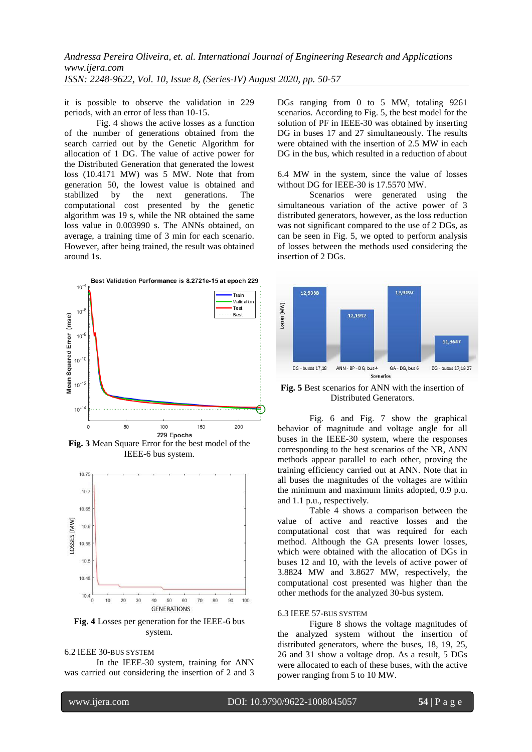it is possible to observe the validation in 229 periods, with an error of less than 10-15.

Fig. 4 shows the active losses as a function of the number of generations obtained from the search carried out by the Genetic Algorithm for allocation of 1 DG. The value of active power for the Distributed Generation that generated the lowest loss (10.4171 MW) was 5 MW. Note that from generation 50, the lowest value is obtained and stabilized by the next generations. The computational cost presented by the genetic algorithm was 19 s, while the NR obtained the same loss value in 0.003990 s. The ANNs obtained, on average, a training time of 3 min for each scenario. However, after being trained, the result was obtained around 1s.



**Fig. 3** Mean Square Error for the best model of the IEEE-6 bus system.



**Fig. 4** Losses per generation for the IEEE-6 bus system.

#### 6.2 IEEE 30-BUS SYSTEM

In the IEEE-30 system, training for ANN was carried out considering the insertion of 2 and 3 DGs ranging from 0 to 5 MW, totaling 9261 scenarios. According to Fig. 5, the best model for the solution of PF in IEEE-30 was obtained by inserting DG in buses 17 and 27 simultaneously. The results were obtained with the insertion of 2.5 MW in each DG in the bus, which resulted in a reduction of about

6.4 MW in the system, since the value of losses without DG for IEEE-30 is 17.5570 MW.

Scenarios were generated using the simultaneous variation of the active power of 3 distributed generators, however, as the loss reduction was not significant compared to the use of 2 DGs, as can be seen in Fig. 5, we opted to perform analysis of losses between the methods used considering the insertion of 2 DGs.



**Fig. 5** Best scenarios for ANN with the insertion of Distributed Generators.

Fig. 6 and Fig. 7 show the graphical behavior of magnitude and voltage angle for all buses in the IEEE-30 system, where the responses corresponding to the best scenarios of the NR, ANN methods appear parallel to each other, proving the training efficiency carried out at ANN. Note that in all buses the magnitudes of the voltages are within the minimum and maximum limits adopted, 0.9 p.u. and 1.1 p.u., respectively.

Table 4 shows a comparison between the value of active and reactive losses and the computational cost that was required for each method. Although the GA presents lower losses, which were obtained with the allocation of DGs in buses 12 and 10, with the levels of active power of 3.8824 MW and 3.8627 MW, respectively, the computational cost presented was higher than the other methods for the analyzed 30-bus system.

#### 6.3 IEEE 57-BUS SYSTEM

Figure 8 shows the voltage magnitudes of the analyzed system without the insertion of distributed generators, where the buses, 18, 19, 25, 26 and 31 show a voltage drop. As a result, 5 DGs were allocated to each of these buses, with the active power ranging from 5 to 10 MW.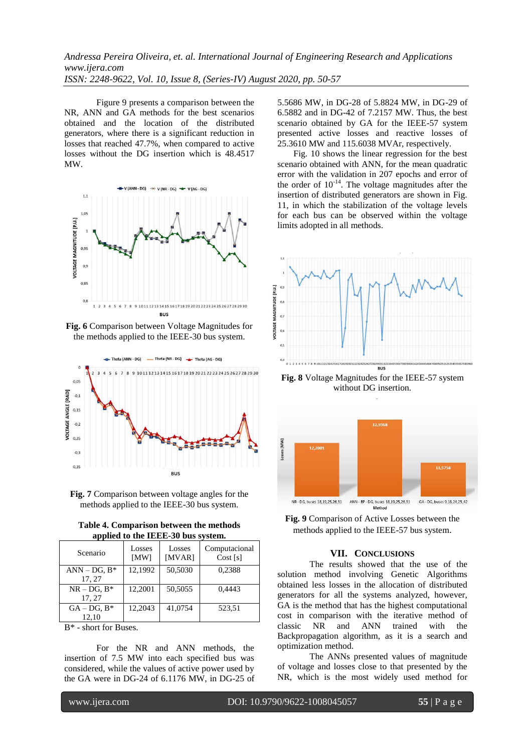Figure 9 presents a comparison between the NR, ANN and GA methods for the best scenarios obtained and the location of the distributed generators, where there is a significant reduction in losses that reached 47.7%, when compared to active losses without the DG insertion which is 48.4517 MW.



**Fig. 6** Comparison between Voltage Magnitudes for the methods applied to the IEEE-30 bus system.



**Fig. 7** Comparison between voltage angles for the methods applied to the IEEE-30 bus system.

**Table 4. Comparison between the methods applied to the IEEE-30 bus system.**

| Scenario           | Losses<br>[MW] | Losses<br>[MVAR] | Computacional<br>Cost[s] |
|--------------------|----------------|------------------|--------------------------|
| $ANN - DG$ , $B^*$ | 12,1992        | 50,5030          | 0.2388                   |
| 17, 27             |                |                  |                          |
| $NR - DG$ , $B^*$  | 12,2001        | 50,5055          | 0.4443                   |
| 17, 27             |                |                  |                          |
| $GA - DG$ , $B^*$  | 12.2043        | 41,0754          | 523,51                   |
| 12.10              |                |                  |                          |

B\* - short for Buses.

For the NR and ANN methods, the insertion of 7.5 MW into each specified bus was considered, while the values of active power used by the GA were in DG-24 of 6.1176 MW, in DG-25 of 5.5686 MW, in DG-28 of 5.8824 MW, in DG-29 of 6.5882 and in DG-42 of 7.2157 MW. Thus, the best scenario obtained by GA for the IEEE-57 system presented active losses and reactive losses of 25.3610 MW and 115.6038 MVAr, respectively.

Fig. 10 shows the linear regression for the best scenario obtained with ANN, for the mean quadratic error with the validation in 207 epochs and error of the order of  $10^{-14}$ . The voltage magnitudes after the insertion of distributed generators are shown in Fig. 11, in which the stabilization of the voltage levels for each bus can be observed within the voltage limits adopted in all methods.



**Fig. 8** Voltage Magnitudes for the IEEE-57 system without DG insertion.



**Fig. 9** Comparison of Active Losses between the methods applied to the IEEE-57 bus system.

### **VII. CONCLUSIONS**

The results showed that the use of the solution method involving Genetic Algorithms obtained less losses in the allocation of distributed generators for all the systems analyzed, however, GA is the method that has the highest computational cost in comparison with the iterative method of classic NR and ANN trained with the Backpropagation algorithm, as it is a search and optimization method.

The ANNs presented values of magnitude of voltage and losses close to that presented by the NR, which is the most widely used method for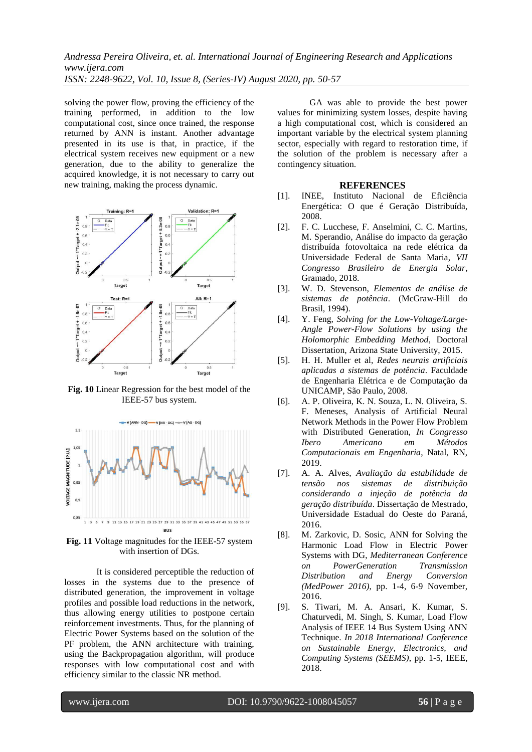solving the power flow, proving the efficiency of the training performed, in addition to the low computational cost, since once trained, the response returned by ANN is instant. Another advantage presented in its use is that, in practice, if the electrical system receives new equipment or a new generation, due to the ability to generalize the acquired knowledge, it is not necessary to carry out new training, making the process dynamic.



**Fig. 10** Linear Regression for the best model of the IEEE-57 bus system.



**Fig. 11** Voltage magnitudes for the IEEE-57 system with insertion of DGs.

It is considered perceptible the reduction of losses in the systems due to the presence of distributed generation, the improvement in voltage profiles and possible load reductions in the network, thus allowing energy utilities to postpone certain reinforcement investments. Thus, for the planning of Electric Power Systems based on the solution of the PF problem, the ANN architecture with training, using the Backpropagation algorithm, will produce responses with low computational cost and with efficiency similar to the classic NR method.

GA was able to provide the best power values for minimizing system losses, despite having a high computational cost, which is considered an important variable by the electrical system planning sector, especially with regard to restoration time, if the solution of the problem is necessary after a contingency situation.

### **REFERENCES**

- [1]. INEE, Instituto Nacional de Eficiência Energética: O que é Geração Distribuída, 2008.
- [2]. F. C. Lucchese, F. Anselmini, C. C. Martins, M. Sperandio, Análise do impacto da geração distribuída fotovoltaica na rede elétrica da Universidade Federal de Santa Maria, *VII Congresso Brasileiro de Energia Solar*, Gramado, 2018.
- [3]. W. D. Stevenson, *Elementos de análise de sistemas de potência*. (McGraw-Hill do Brasil, 1994).
- [4]. Y. Feng, *Solving for the Low-Voltage/Large-Angle Power-Flow Solutions by using the Holomorphic Embedding Method*, Doctoral Dissertation, Arizona State University, 2015.
- [5]. H. H. Muller et al, *Redes neurais artificiais aplicadas a sistemas de potência*. Faculdade de Engenharia Elétrica e de Computação da UNICAMP, São Paulo, 2008.
- [6]. A. P. Oliveira, K. N. Souza, L. N. Oliveira, S. F. Meneses, Analysis of Artificial Neural Network Methods in the Power Flow Problem with Distributed Generation, *In Congresso Ibero Americano em Métodos Computacionais em Engenharia*, Natal, RN, 2019.
- [7]. A. A. Alves, *Avaliação da estabilidade de tensão nos sistemas de distribuição considerando a injeção de potência da geração distribuída*. Dissertação de Mestrado, Universidade Estadual do Oeste do Paraná, 2016.
- [8]. M. Zarkovic, D. Sosic, ANN for Solving the Harmonic Load Flow in Electric Power Systems with DG, *Mediterranean Conference on PowerGeneration Transmission Distribution and Energy Conversion (MedPower 2016)*, pp. 1-4, 6-9 November, 2016.
- [9]. S. Tiwari, M. A. Ansari, K. Kumar, S. Chaturvedi, M. Singh, S. Kumar, Load Flow Analysis of IEEE 14 Bus System Using ANN Technique. *In 2018 International Conference on Sustainable Energy, Electronics, and Computing Systems (SEEMS)*, pp. 1-5, IEEE, 2018.